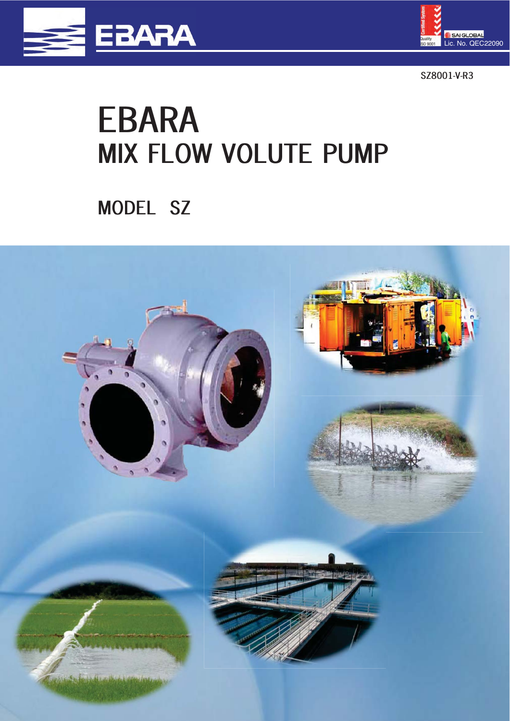



**SZ8001-V-R3** 

# **EBARA MIX FLOW VOLUTE PUMP**

**MODEL SZ** 

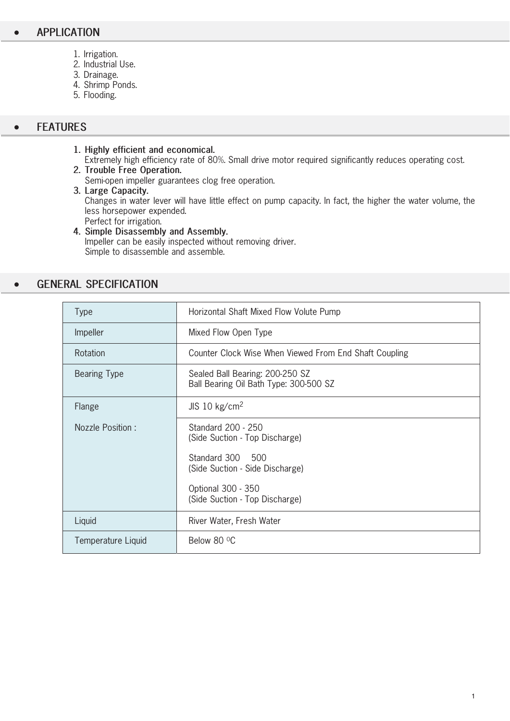- 1. Irrigation.
- 2. Industrial Use.
- 3. Drainage.
- 4. Shrimp Ponds.
- 5. Flooding.

#### $\bullet$ **FEATURES**

**1. Highly efficient and economical.**  Extremely high efficiency rate of 80%. Small drive motor required significantly reduces operating cost. **2. Trouble Free Operation.** 

Semi-open impeller guarantees clog free operation.

**3. Large Capacity.**  Changes in water lever will have little effect on pump capacity. In fact, the higher the water volume, the less horsepower expended. Perfect for irrigation.

# **4. Simple Disassembly and Assembly.**  Impeller can be easily inspected without removing driver. Simple to disassemble and assemble.

### $\bullet$ **GENERAL SPECIFICATION**

| <b>Type</b>         | Horizontal Shaft Mixed Flow Volute Pump                                   |  |  |  |  |
|---------------------|---------------------------------------------------------------------------|--|--|--|--|
| Impeller            | Mixed Flow Open Type                                                      |  |  |  |  |
| Rotation            | Counter Clock Wise When Viewed From End Shaft Coupling                    |  |  |  |  |
| <b>Bearing Type</b> | Sealed Ball Bearing: 200-250 SZ<br>Ball Bearing Oil Bath Type: 300-500 SZ |  |  |  |  |
| Flange              | JIS 10 $kg/cm2$                                                           |  |  |  |  |
| Nozzle Position:    | Standard 200 - 250<br>(Side Suction - Top Discharge)                      |  |  |  |  |
|                     | Standard 300 500<br>(Side Suction - Side Discharge)                       |  |  |  |  |
|                     | Optional 300 - 350<br>(Side Suction - Top Discharge)                      |  |  |  |  |
| Liquid              | River Water, Fresh Water                                                  |  |  |  |  |
| Temperature Liquid  | Below 80 °C                                                               |  |  |  |  |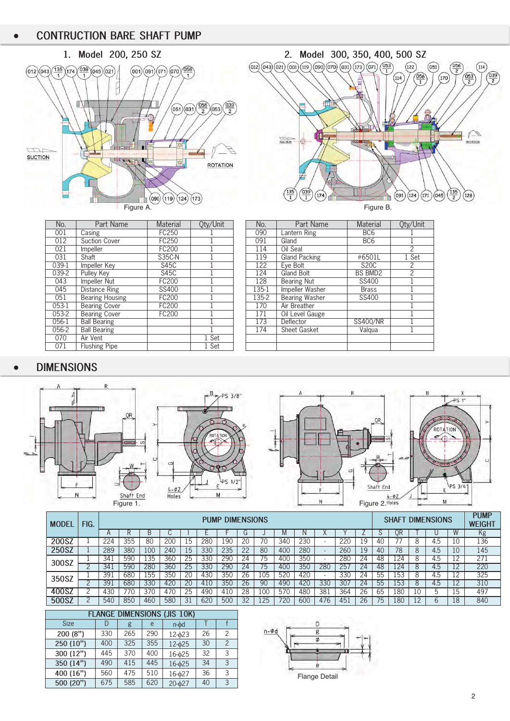



| No.     | Part Name              | Material      | Qty/Unit | No.   | Part Name             | Material        | Oty/Un        |
|---------|------------------------|---------------|----------|-------|-----------------------|-----------------|---------------|
| 001     | Casing                 | FC250         |          | 090   | Lantern Ring          | BC <sub>6</sub> |               |
| 012     | Suction Cover          | FC250         |          | 091   | Gland                 | BC <sub>6</sub> |               |
| 021     | <i>Impeller</i>        | FC200         |          | 114   | Oil Seal              |                 | $\mathcal{P}$ |
| 031     | Shaft                  | <b>S35C-N</b> |          | 119   | Gland Packing         | #6501L          | 1 Set         |
| 039-1   | <b>Impeller</b> Key    | S45C          |          | 122   | Eve Bolt              | <b>S20C</b>     | 2             |
| $039-2$ | Pulley Key             | S45C          |          | 124   | Gland Bolt            | BS BMD2         | $\mathcal{P}$ |
| 043     | Impeller Nut           | FC200         |          | 128   | <b>Bearing Nut</b>    | SS400           |               |
| 045     | Distance Ring          | SS400         |          | 135-1 | Impeller Washer       | <b>Brass</b>    |               |
| 051     | <b>Bearing Housing</b> | FC200         |          | 135-2 | <b>Bearing Washer</b> | SS400           |               |
| 053-1   | <b>Bearing Cover</b>   | FC200         |          | 170   | Air Breather          |                 |               |
| 053-2   | <b>Bearing Cover</b>   | FC200         |          | 171   | Oil Level Gauge       |                 |               |
| 056-1   | <b>Ball Bearing</b>    |               |          | 173   | Deflector             | <b>SS400/NR</b> |               |
| 056-2   | <b>Ball Bearing</b>    |               |          | 174   | <b>Sheet Gasket</b>   | Valgua          |               |
| 070     | Air Vent               |               | 1 Set    |       |                       |                 |               |
| 071     | <b>Flushing Pipe</b>   |               | 1 Set    |       |                       |                 |               |

| No.      | Part Name              | <b>Material</b> | Qty/Unit | No.   | Part Name             | <b>Material</b> | Oty/Unit       |
|----------|------------------------|-----------------|----------|-------|-----------------------|-----------------|----------------|
| 001      | $\overline{C}$ asing   | FC250           |          | 090   | Lantern Ring          | BC <sub>6</sub> |                |
| 012      | Suction Cover          | FC250           |          | 091   | Gland                 | BC <sub>6</sub> |                |
| 021      | <i>Impeller</i>        | FC200           |          | 114   | Oil Seal              |                 | 2              |
| 031      | Shaft                  | <b>S35C-N</b>   |          | 119   | <b>Gland Packing</b>  | #6501L          | 1 Set          |
| $39-1$   | Impeller Key           | S45C            |          | 122   | Eye Bolt              | <b>S20C</b>     |                |
| $39 - 2$ | Pulley Key             | S45C            |          | 124   | Gland Bolt            | <b>BS BMD2</b>  | $\mathfrak{p}$ |
| 043      | Impeller Nut           | FC200           |          | 128   | Bearing Nut           | SS400           |                |
| 045      | Distance Ring          | SS400           |          | 135-1 | Impeller Washer       | <b>Brass</b>    |                |
| 051      | <b>Bearing Housing</b> | FC200           |          | 135-2 | <b>Bearing Washer</b> | SS400           |                |
| $53-1$   | <b>Bearing Cover</b>   | FC200           |          | 170   | Air Breather          |                 |                |
| $53-2$   | <b>Bearing Cover</b>   | FC200           |          | 171   | Oil Level Gauge       |                 |                |
| $56-1$   | <b>Ball Bearing</b>    |                 |          | 173   | Deflector             | SS400/NR        |                |
| $56-2$   | <b>Ball Bearing</b>    |                 |          | 174   | <b>Sheet Gasket</b>   | Valqua          |                |
| 070      | Air Vent               |                 | l Set    |       |                       |                 |                |
| 071      | <b>Flushing Pipe</b>   |                 | 1 Set    |       |                       |                 |                |
|          |                        |                 |          |       |                       |                 |                |

#### $\bullet$ **DIMENSIONS**



| <b>MODEL</b> | FIG. |                 | <b>DIMENSIONS</b><br><b>PUMP</b> |     |     |    |     |     |    |     | <b>DIMENSIONS</b><br>SHAFT |     |     |     | <b>PUMP</b><br><b>WEIGHT</b> |    |     |   |     |    |     |
|--------------|------|-----------------|----------------------------------|-----|-----|----|-----|-----|----|-----|----------------------------|-----|-----|-----|------------------------------|----|-----|---|-----|----|-----|
|              |      | $\mathsf{H}$    |                                  |     | ◡   |    |     |     | G  |     | IVI                        |     |     |     |                              |    | ЭR  |   |     | W  | Kg  |
| 200SZ        |      | 224             | 355                              | 80  | 200 | 15 | 280 | 190 | 20 | 70  | 340                        | 230 |     | 220 | 19                           | 40 |     |   | 4.5 | 10 | 136 |
| 250SZ        |      | 289             | 380                              | 100 | 240 | 15 | 330 | 235 | 22 | 80  | 400                        | 280 |     | 260 | 19                           | 40 | 78  | 8 | 4.5 | 10 | 145 |
| 300SZ        |      | 341             | 590                              | .35 | 360 | 25 | 33C | 290 | 24 | 75  | 400                        | 350 |     | 280 | 24                           | 48 | 24  |   | 4.5 | 12 | 271 |
|              |      | 34 <sup>2</sup> | 590                              | 280 | 360 | 25 | 330 | 290 | 24 | 75  | 400                        | 350 | 280 | 257 | 24                           | 48 | 124 | 8 | 4.5 | ာ  | 220 |
| 350SZ        |      | 39              | 680                              | 155 | 350 | 20 | 430 | 350 | 26 | 105 | 520                        | 420 |     | 330 | 24                           | ხხ | 53  |   | 4.5 | 12 | 325 |
|              |      | 39              | 680                              | 330 | 420 | 20 | 410 | 350 | 26 | 90  | 490                        | 420 | 330 | 307 | 24                           | 55 | 53  | 8 | 4.5 | 2  | 310 |
| 400SZ        |      | 430             | 77C                              | 370 | 470 | 25 | 490 | 410 | 28 | 100 | 570                        | 480 | 381 | 364 | 26                           | 65 | 80  |   | h   | ι5 | 497 |
| 500SZ        |      | 540             | 850                              | 460 | 580 | 31 | 620 | 500 | 32 | 125 | 720                        | 600 | 476 | 45. | 26                           | 75 | 80  |   |     | 18 | 840 |

| <b>FLANGE DIMENSIONS (JIS 10K)</b> |     |     |     |                |    |               |  |
|------------------------------------|-----|-----|-----|----------------|----|---------------|--|
| <b>Size</b>                        |     | g   | e   | $n$ - $\phi$ d |    |               |  |
| 200(8")                            | 330 | 265 | 290 | $12 - 623$     | 26 | 2             |  |
| 250 (10")                          | 400 | 325 | 355 | $12 - 625$     | 30 | $\mathcal{P}$ |  |
| 300 (12")                          | 445 | 370 | 400 | 16-025         | 32 | 3             |  |
| 350 (14")                          | 490 | 415 | 445 | 16-025         | 34 | 3             |  |
| 400 (16")                          | 560 | 475 | 510 | 16-627         | 36 | 3             |  |
| 500 (20")                          | 675 | 585 | 620 | 20-627         | 40 | 3             |  |

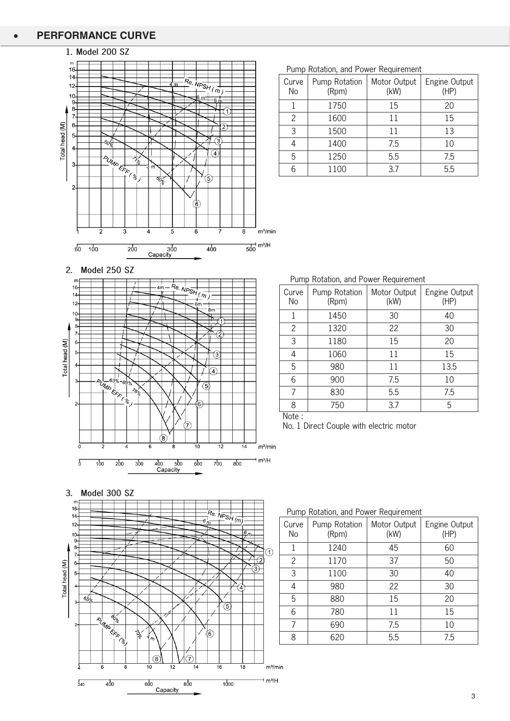#### $\bullet$ **PERFORMANCE CURVE**

# **1. Model 200 SZ**



Pump Rotation, and Power Requirement

| Curve<br>No | Pump Rotation<br>(Rpm) | Motor Output<br>(kW) | Engine Output<br>(HP) |
|-------------|------------------------|----------------------|-----------------------|
|             | 1750                   | 15                   | 20                    |
| 2           | 1600                   | 11                   | 15                    |
| 3           | 1500                   | 11                   | 13                    |
| 4           | 1400                   | 7.5                  | 10                    |
| 5           | 1250                   | 5.5                  | 7.5                   |
| հ           | 1100                   | 37                   | 5.5                   |

**2. Model 250 SZ** 



Pump Rotation, and Power Requirement

| Curve<br>No | Pump Rotation<br>(Rpm) | Motor Output<br>(kW) | Engine Output<br>(HP) |
|-------------|------------------------|----------------------|-----------------------|
| 1           | 1450                   | 30                   | 40                    |
| 2           | 1320                   | 22                   | 30                    |
| 3           | 1180                   | 15                   | 20                    |
| 4           | 1060                   | 11                   | 15                    |
| 5           | 980                    | 11                   | 13.5                  |
| 6           | 900                    | 7.5                  | 10                    |
| 7           | 830                    | 5.5                  | 7.5                   |
| 8           | 750                    | 3.7                  | 5                     |
| <b>ALL</b>  |                        |                      |                       |

Note :

No. 1 Direct Couple with electric motor





Pump Rotation, and Power Requirement

| <b>Example Notation, and I ower Negali childrit</b> |                        |                      |                       |  |  |  |  |  |
|-----------------------------------------------------|------------------------|----------------------|-----------------------|--|--|--|--|--|
| Curve<br>No                                         | Pump Rotation<br>(Rpm) | Motor Output<br>(kW) | Engine Output<br>(HP) |  |  |  |  |  |
| 1                                                   | 1240                   | 45                   | 60                    |  |  |  |  |  |
| 2                                                   | 1170                   | 37                   | 50                    |  |  |  |  |  |
| 3                                                   | 1100                   | 30                   | 40                    |  |  |  |  |  |
| 4                                                   | 980                    | 22                   | 30                    |  |  |  |  |  |
| 5                                                   | 880                    | 15                   | 20                    |  |  |  |  |  |
| 6                                                   | 780                    | 11                   | 15                    |  |  |  |  |  |
| 7                                                   | 690                    | 7.5                  | 10                    |  |  |  |  |  |
| 8                                                   | 620                    | 5.5                  | 7.5                   |  |  |  |  |  |
|                                                     |                        |                      |                       |  |  |  |  |  |